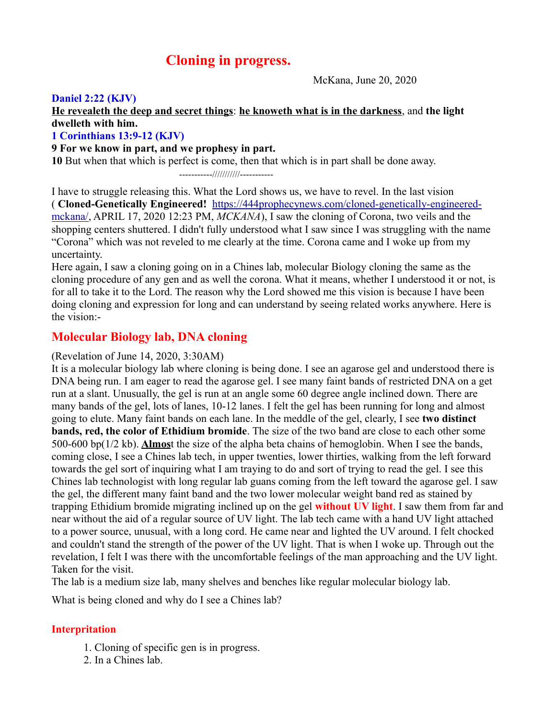# **Cloning in progress.**

McKana, June 20, 2020

# **Daniel 2:22 (KJV)**

# **He revealeth the deep and secret things**: **he knoweth what is in the darkness**, and **the light dwelleth with him.**

## **1 Corinthians 13:9-12 (KJV)**

#### **9 For we know in part, and we prophesy in part.**

**10** But when that which is perfect is come, then that which is in part shall be done away.

-----------///////////-----------

I have to struggle releasing this. What the Lord shows us, we have to revel. In the last vision ( **Cloned-Genetically Engineered!** [https://444prophecynews.com/cloned-genetically-engineered](https://444prophecynews.com/cloned-genetically-engineered-mckana/)[mckana/,](https://444prophecynews.com/cloned-genetically-engineered-mckana/) APRIL 17, 2020 12:23 PM, *MCKANA*), I saw the cloning of Corona, two veils and the shopping centers shuttered. I didn't fully understood what I saw since I was struggling with the name "Corona" which was not reveled to me clearly at the time. Corona came and I woke up from my uncertainty.

Here again, I saw a cloning going on in a Chines lab, molecular Biology cloning the same as the cloning procedure of any gen and as well the corona. What it means, whether I understood it or not, is for all to take it to the Lord. The reason why the Lord showed me this vision is because I have been doing cloning and expression for long and can understand by seeing related works anywhere. Here is the vision:-

# **Molecular Biology lab, DNA cloning**

#### (Revelation of June 14, 2020, 3:30AM)

It is a molecular biology lab where cloning is being done. I see an agarose gel and understood there is DNA being run. I am eager to read the agarose gel. I see many faint bands of restricted DNA on a get run at a slant. Unusually, the gel is run at an angle some 60 degree angle inclined down. There are many bands of the gel, lots of lanes, 10-12 lanes. I felt the gel has been running for long and almost going to elute. Many faint bands on each lane. In the meddle of the gel, clearly, I see **two distinct bands, red, the color of Ethidium bromide**. The size of the two band are close to each other some 500-600 bp(1/2 kb). **Almos**t the size of the alpha beta chains of hemoglobin. When I see the bands, coming close, I see a Chines lab tech, in upper twenties, lower thirties, walking from the left forward towards the gel sort of inquiring what I am traying to do and sort of trying to read the gel. I see this Chines lab technologist with long regular lab guans coming from the left toward the agarose gel. I saw the gel, the different many faint band and the two lower molecular weight band red as stained by trapping Ethidium bromide migrating inclined up on the gel **without UV light**. I saw them from far and near without the aid of a regular source of UV light. The lab tech came with a hand UV light attached to a power source, unusual, with a long cord. He came near and lighted the UV around. I felt chocked and couldn't stand the strength of the power of the UV light. That is when I woke up. Through out the revelation, I felt I was there with the uncomfortable feelings of the man approaching and the UV light. Taken for the visit.

The lab is a medium size lab, many shelves and benches like regular molecular biology lab.

What is being cloned and why do I see a Chines lab?

# **Interpritation**

- 1. Cloning of specific gen is in progress.
- 2. In a Chines lab.